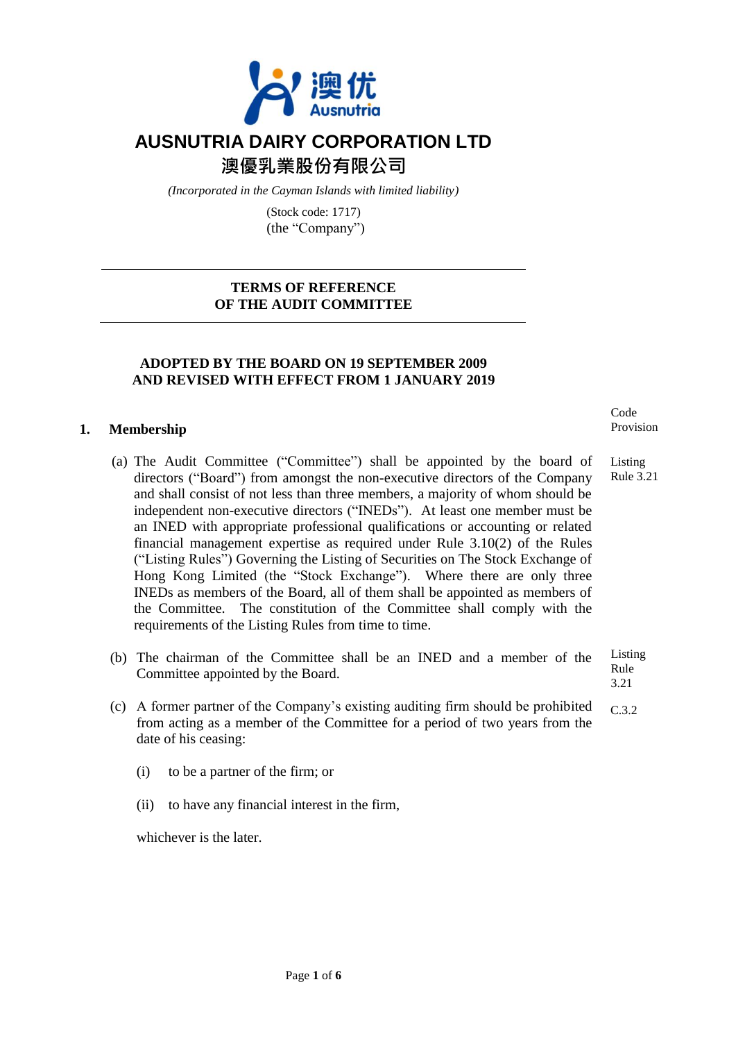

# **AUSNUTRIA DAIRY CORPORATION LTD**

**澳優乳業股份有限公司**

*(Incorporated in the Cayman Islands with limited liability)*

(Stock code: 1717) (the "Company")

# **TERMS OF REFERENCE OF THE AUDIT COMMITTEE**

# **ADOPTED BY THE BOARD ON 19 SEPTEMBER 2009 AND REVISED WITH EFFECT FROM 1 JANUARY 2019**

# **1. Membership**

- (a) The Audit Committee ("Committee") shall be appointed by the board of directors ("Board") from amongst the non-executive directors of the Company and shall consist of not less than three members, a majority of whom should be independent non-executive directors ("INEDs"). At least one member must be an INED with appropriate professional qualifications or accounting or related financial management expertise as required under Rule 3.10(2) of the Rules ("Listing Rules") Governing the Listing of Securities on The Stock Exchange of Hong Kong Limited (the "Stock Exchange"). Where there are only three INEDs as members of the Board, all of them shall be appointed as members of the Committee. The constitution of the Committee shall comply with the requirements of the Listing Rules from time to time.
- (b) The chairman of the Committee shall be an INED and a member of the Committee appointed by the Board. Listing Rule 3.21
- (c) A former partner of the Company's existing auditing firm should be prohibited from acting as a member of the Committee for a period of two years from the date of his ceasing: C.3.2
	- (i) to be a partner of the firm; or
	- (ii) to have any financial interest in the firm,

whichever is the later

Code Provision

Listing Rule 3.21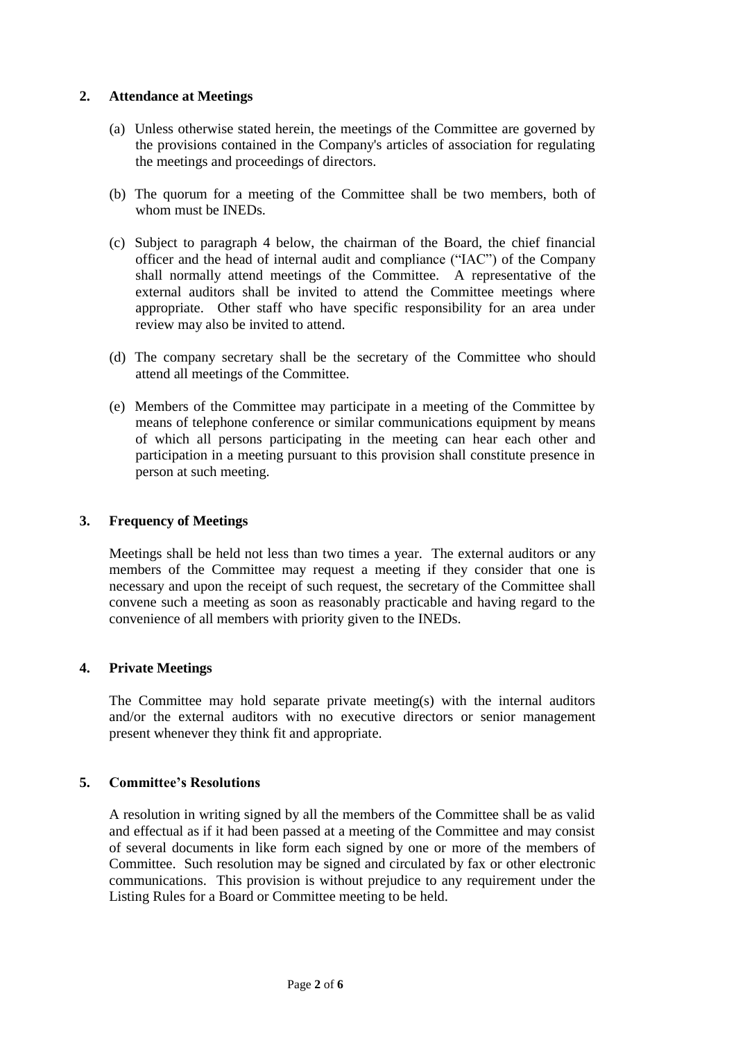# **2. Attendance at Meetings**

- (a) Unless otherwise stated herein, the meetings of the Committee are governed by the provisions contained in the Company's articles of association for regulating the meetings and proceedings of directors.
- (b) The quorum for a meeting of the Committee shall be two members, both of whom must be INEDs.
- (c) Subject to paragraph 4 below, the chairman of the Board, the chief financial officer and the head of internal audit and compliance ("IAC") of the Company shall normally attend meetings of the Committee. A representative of the external auditors shall be invited to attend the Committee meetings where appropriate. Other staff who have specific responsibility for an area under review may also be invited to attend.
- (d) The company secretary shall be the secretary of the Committee who should attend all meetings of the Committee.
- (e) Members of the Committee may participate in a meeting of the Committee by means of telephone conference or similar communications equipment by means of which all persons participating in the meeting can hear each other and participation in a meeting pursuant to this provision shall constitute presence in person at such meeting.

# **3. Frequency of Meetings**

Meetings shall be held not less than two times a year. The external auditors or any members of the Committee may request a meeting if they consider that one is necessary and upon the receipt of such request, the secretary of the Committee shall convene such a meeting as soon as reasonably practicable and having regard to the convenience of all members with priority given to the INEDs.

# **4. Private Meetings**

The Committee may hold separate private meeting(s) with the internal auditors and/or the external auditors with no executive directors or senior management present whenever they think fit and appropriate.

# **5. Committee's Resolutions**

A resolution in writing signed by all the members of the Committee shall be as valid and effectual as if it had been passed at a meeting of the Committee and may consist of several documents in like form each signed by one or more of the members of Committee. Such resolution may be signed and circulated by fax or other electronic communications. This provision is without prejudice to any requirement under the Listing Rules for a Board or Committee meeting to be held.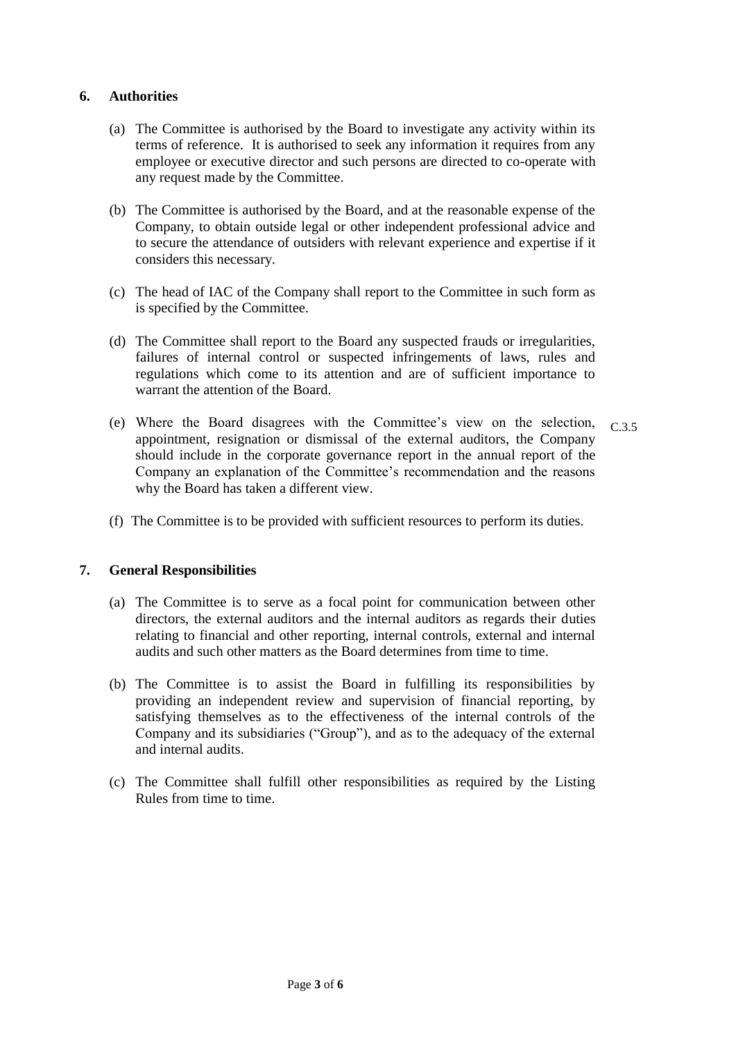# **6. Authorities**

- (a) The Committee is authorised by the Board to investigate any activity within its terms of reference. It is authorised to seek any information it requires from any employee or executive director and such persons are directed to co-operate with any request made by the Committee.
- (b) The Committee is authorised by the Board, and at the reasonable expense of the Company, to obtain outside legal or other independent professional advice and to secure the attendance of outsiders with relevant experience and expertise if it considers this necessary.
- (c) The head of IAC of the Company shall report to the Committee in such form as is specified by the Committee.
- (d) The Committee shall report to the Board any suspected frauds or irregularities, failures of internal control or suspected infringements of laws, rules and regulations which come to its attention and are of sufficient importance to warrant the attention of the Board.
- (e) Where the Board disagrees with the Committee's view on the selection, appointment, resignation or dismissal of the external auditors, the Company should include in the corporate governance report in the annual report of the Company an explanation of the Committee's recommendation and the reasons why the Board has taken a different view. C.3.5
- (f) The Committee is to be provided with sufficient resources to perform its duties.

# **7. General Responsibilities**

- (a) The Committee is to serve as a focal point for communication between other directors, the external auditors and the internal auditors as regards their duties relating to financial and other reporting, internal controls, external and internal audits and such other matters as the Board determines from time to time.
- (b) The Committee is to assist the Board in fulfilling its responsibilities by providing an independent review and supervision of financial reporting, by satisfying themselves as to the effectiveness of the internal controls of the Company and its subsidiaries ("Group"), and as to the adequacy of the external and internal audits.
- (c) The Committee shall fulfill other responsibilities as required by the Listing Rules from time to time.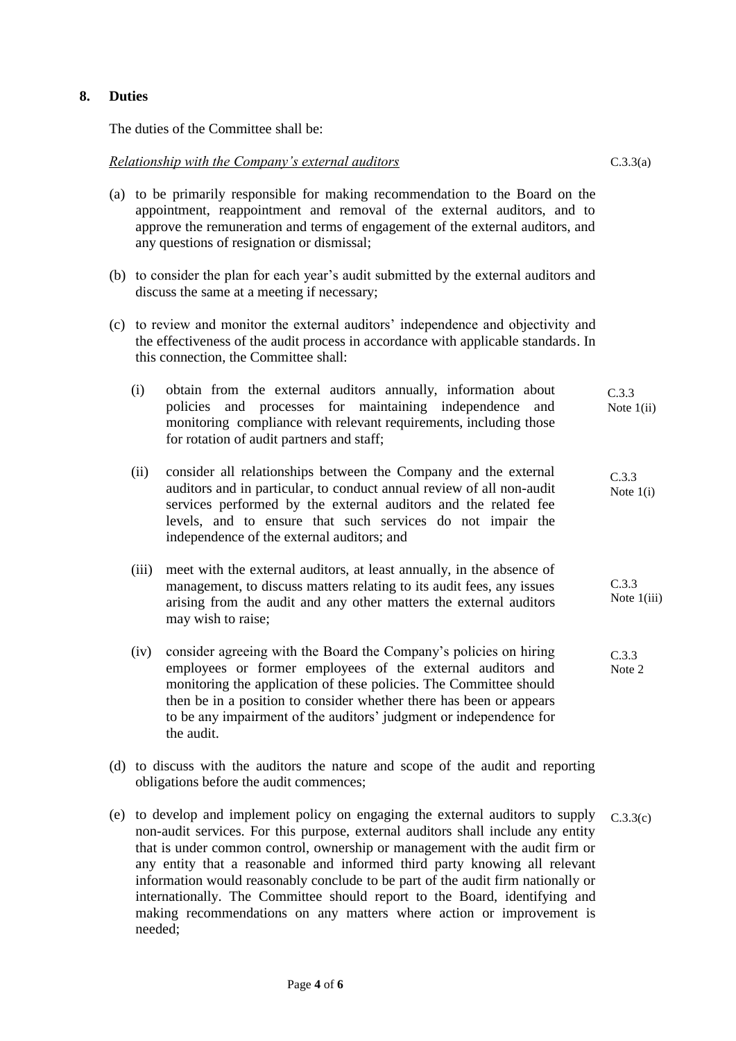# **8. Duties**

The duties of the Committee shall be:

#### *Relationship with the Company's external auditors*

- (a) to be primarily responsible for making recommendation to the Board on the appointment, reappointment and removal of the external auditors, and to approve the remuneration and terms of engagement of the external auditors, and any questions of resignation or dismissal;
- (b) to consider the plan for each year's audit submitted by the external auditors and discuss the same at a meeting if necessary;
- (c) to review and monitor the external auditors' independence and objectivity and the effectiveness of the audit process in accordance with applicable standards. In this connection, the Committee shall:
	- (i) obtain from the external auditors annually, information about policies and processes for maintaining independence and monitoring compliance with relevant requirements, including those for rotation of audit partners and staff; Note 1(ii)  $\sum_{i=1}^{n}$ C.3.3
	- (ii) consider all relationships between the Company and the external auditors and in particular, to conduct annual review of all non-audit services performed by the external auditors and the related fee levels, and to ensure that such services do not impair the independence of the external auditors; and C.3.3 Note 1(i)
	- (iii) meet with the external auditors, at least annually, in the absence of management, to discuss matters relating to its audit fees, any issues arising from the audit and any other matters the external auditors may wish to raise; C.3.3 Note 1(iii)
	- (iv) consider agreeing with the Board the Company's policies on hiring employees or former employees of the external auditors and monitoring the application of these policies. The Committee should then be in a position to consider whether there has been or appears to be any impairment of the auditors' judgment or independence for the audit. C.3.3 Note 2
- (d) to discuss with the auditors the nature and scope of the audit and reporting obligations before the audit commences;
- (e) to develop and implement policy on engaging the external auditors to supply non-audit services. For this purpose, external auditors shall include any entity that is under common control, ownership or management with the audit firm or any entity that a reasonable and informed third party knowing all relevant information would reasonably conclude to be part of the audit firm nationally or internationally. The Committee should report to the Board, identifying and making recommendations on any matters where action or improvement is needed; C.3.3(c)

C.3.3(a)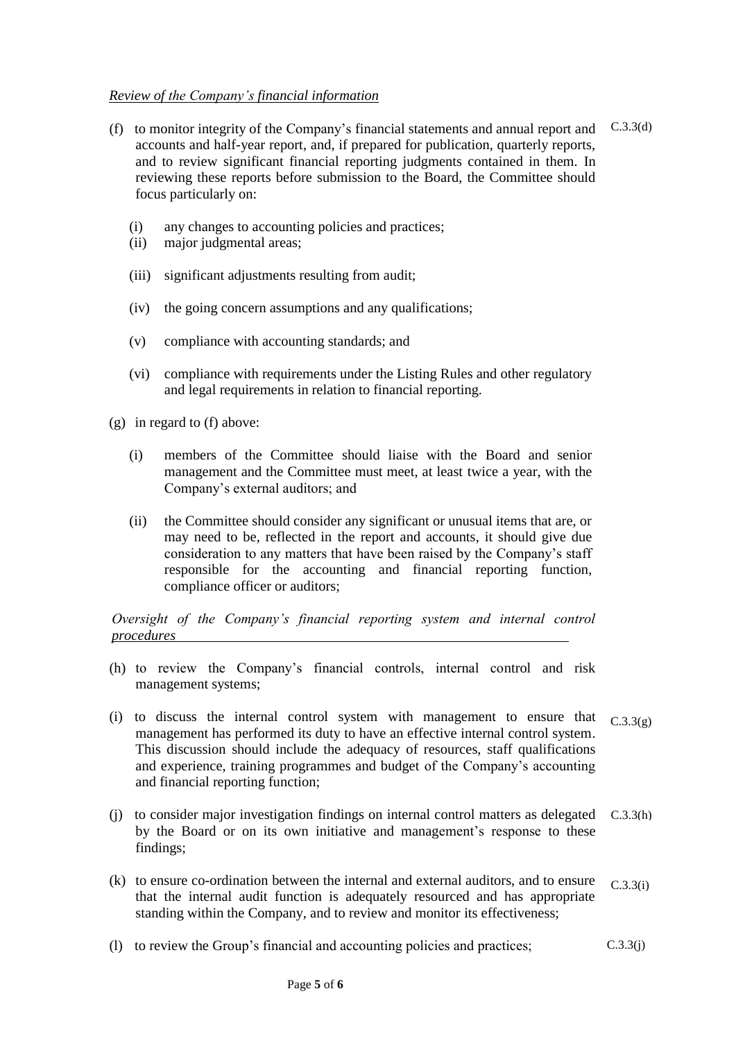#### *Review of the Company's financial information*

- (f) to monitor integrity of the Company's financial statements and annual report and  $C.3.3(d)$ accounts and half-year report, and, if prepared for publication, quarterly reports, and to review significant financial reporting judgments contained in them. In reviewing these reports before submission to the Board, the Committee should focus particularly on:
	- (i) any changes to accounting policies and practices;
	- (ii) major judgmental areas;
	- (iii) significant adjustments resulting from audit;
	- (iv) the going concern assumptions and any qualifications;
	- (v) compliance with accounting standards; and
	- (vi) compliance with requirements under the Listing Rules and other regulatory and legal requirements in relation to financial reporting.

(g) in regard to (f) above:

- (i) members of the Committee should liaise with the Board and senior management and the Committee must meet, at least twice a year, with the Company's external auditors; and
- (ii) the Committee should consider any significant or unusual items that are, or may need to be, reflected in the report and accounts, it should give due consideration to any matters that have been raised by the Company's staff responsible for the accounting and financial reporting function, compliance officer or auditors;

*Oversight of the Company's financial reporting system and internal control procedures* 

- (h) to review the Company's financial controls, internal control and risk management systems;
- (i) to discuss the internal control system with management to ensure that management has performed its duty to have an effective internal control system. This discussion should include the adequacy of resources, staff qualifications and experience, training programmes and budget of the Company's accounting and financial reporting function;  $C.3.3(g)$
- (j) to consider major investigation findings on internal control matters as delegated by the Board or on its own initiative and management's response to these findings; C.3.3(h)
- (k) to ensure co-ordination between the internal and external auditors, and to ensure that the internal audit function is adequately resourced and has appropriate standing within the Company, and to review and monitor its effectiveness; C.3.3(i)
- (l) to review the Group's financial and accounting policies and practices;  $C.3.3(i)$